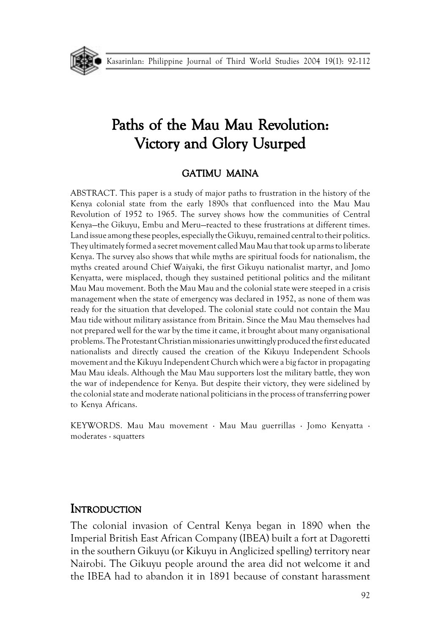

# Paths of the Mau Mau Revolution: Victory and Glory Usurped

#### GATIMU MAINA

ABSTRACT. This paper is a study of major paths to frustration in the history of the Kenya colonial state from the early 1890s that confluenced into the Mau Mau Revolution of 1952 to 1965. The survey shows how the communities of Central Kenya—the Gikuyu, Embu and Meru—reacted to these frustrations at different times. Land issue among these peoples, especially the Gikuyu, remained central to their politics. They ultimately formed a secret movement called Mau Mau that took up arms to liberate Kenya. The survey also shows that while myths are spiritual foods for nationalism, the myths created around Chief Waiyaki, the first Gikuyu nationalist martyr, and Jomo Kenyatta, were misplaced, though they sustained petitional politics and the militant Mau Mau movement. Both the Mau Mau and the colonial state were steeped in a crisis management when the state of emergency was declared in 1952, as none of them was ready for the situation that developed. The colonial state could not contain the Mau Mau tide without military assistance from Britain. Since the Mau Mau themselves had not prepared well for the war by the time it came, it brought about many organisational problems. The Protestant Christian missionaries unwittingly produced the first educated nationalists and directly caused the creation of the Kikuyu Independent Schools movement and the Kikuyu Independent Church which were a big factor in propagating Mau Mau ideals. Although the Mau Mau supporters lost the military battle, they won the war of independence for Kenya. But despite their victory, they were sidelined by the colonial state and moderate national politicians in the process of transferring power to Kenya Africans.

KEYWORDS. Mau Mau movement · Mau Mau guerrillas · Jomo Kenyatta · moderates · squatters

#### **INTRODUCTION**

The colonial invasion of Central Kenya began in 1890 when the Imperial British East African Company (IBEA) built a fort at Dagoretti in the southern Gikuyu (or Kikuyu in Anglicized spelling) territory near Nairobi. The Gikuyu people around the area did not welcome it and the IBEA had to abandon it in 1891 because of constant harassment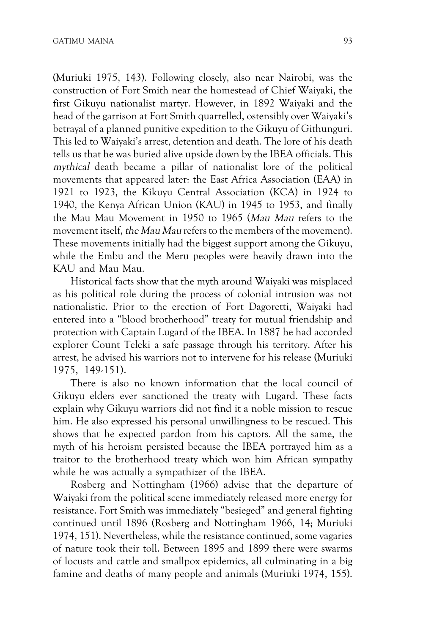(Muriuki 1975, 143). Following closely, also near Nairobi, was the construction of Fort Smith near the homestead of Chief Waiyaki, the first Gikuyu nationalist martyr. However, in 1892 Waiyaki and the head of the garrison at Fort Smith quarrelled, ostensibly over Waiyaki's betrayal of a planned punitive expedition to the Gikuyu of Githunguri. This led to Waiyaki's arrest, detention and death. The lore of his death tells us that he was buried alive upside down by the IBEA officials. This mythical death became a pillar of nationalist lore of the political movements that appeared later: the East Africa Association (EAA) in 1921 to 1923, the Kikuyu Central Association (KCA) in 1924 to 1940, the Kenya African Union (KAU) in 1945 to 1953, and finally the Mau Mau Movement in 1950 to 1965 (Mau Mau refers to the movement itself, the Mau Mau refers to the members of the movement). These movements initially had the biggest support among the Gikuyu, while the Embu and the Meru peoples were heavily drawn into the KAU and Mau Mau.

Historical facts show that the myth around Waiyaki was misplaced as his political role during the process of colonial intrusion was not nationalistic. Prior to the erection of Fort Dagoretti, Waiyaki had entered into a "blood brotherhood" treaty for mutual friendship and protection with Captain Lugard of the IBEA. In 1887 he had accorded explorer Count Teleki a safe passage through his territory. After his arrest, he advised his warriors not to intervene for his release (Muriuki 1975, 149-151).

There is also no known information that the local council of Gikuyu elders ever sanctioned the treaty with Lugard. These facts explain why Gikuyu warriors did not find it a noble mission to rescue him. He also expressed his personal unwillingness to be rescued. This shows that he expected pardon from his captors. All the same, the myth of his heroism persisted because the IBEA portrayed him as a traitor to the brotherhood treaty which won him African sympathy while he was actually a sympathizer of the IBEA.

Rosberg and Nottingham (1966) advise that the departure of Waiyaki from the political scene immediately released more energy for resistance. Fort Smith was immediately "besieged" and general fighting continued until 1896 (Rosberg and Nottingham 1966, 14; Muriuki 1974, 151). Nevertheless, while the resistance continued, some vagaries of nature took their toll. Between 1895 and 1899 there were swarms of locusts and cattle and smallpox epidemics, all culminating in a big famine and deaths of many people and animals (Muriuki 1974, 155).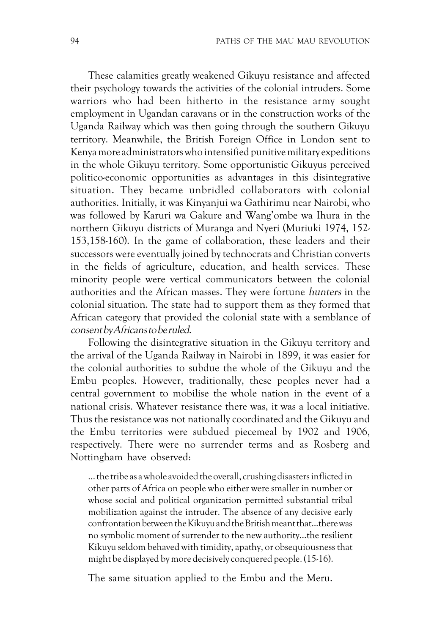These calamities greatly weakened Gikuyu resistance and affected their psychology towards the activities of the colonial intruders. Some warriors who had been hitherto in the resistance army sought employment in Ugandan caravans or in the construction works of the Uganda Railway which was then going through the southern Gikuyu territory. Meanwhile, the British Foreign Office in London sent to Kenya more administrators who intensified punitive military expeditions in the whole Gikuyu territory. Some opportunistic Gikuyus perceived politico-economic opportunities as advantages in this disintegrative situation. They became unbridled collaborators with colonial authorities. Initially, it was Kinyanjui wa Gathirimu near Nairobi, who was followed by Karuri wa Gakure and Wang'ombe wa Ihura in the northern Gikuyu districts of Muranga and Nyeri (Muriuki 1974, 152- 153,158-160). In the game of collaboration, these leaders and their successors were eventually joined by technocrats and Christian converts in the fields of agriculture, education, and health services. These minority people were vertical communicators between the colonial authorities and the African masses. They were fortune hunters in the colonial situation. The state had to support them as they formed that African category that provided the colonial state with a semblance of consent by Africans to be ruled.

Following the disintegrative situation in the Gikuyu territory and the arrival of the Uganda Railway in Nairobi in 1899, it was easier for the colonial authorities to subdue the whole of the Gikuyu and the Embu peoples. However, traditionally, these peoples never had a central government to mobilise the whole nation in the event of a national crisis. Whatever resistance there was, it was a local initiative. Thus the resistance was not nationally coordinated and the Gikuyu and the Embu territories were subdued piecemeal by 1902 and 1906, respectively. There were no surrender terms and as Rosberg and Nottingham have observed:

… the tribe as a whole avoided the overall, crushing disasters inflicted in other parts of Africa on people who either were smaller in number or whose social and political organization permitted substantial tribal mobilization against the intruder. The absence of any decisive early confrontation between the Kikuyu and the British meant that...there was no symbolic moment of surrender to the new authority…the resilient Kikuyu seldom behaved with timidity, apathy, or obsequiousness that might be displayed by more decisively conquered people. (15-16).

The same situation applied to the Embu and the Meru.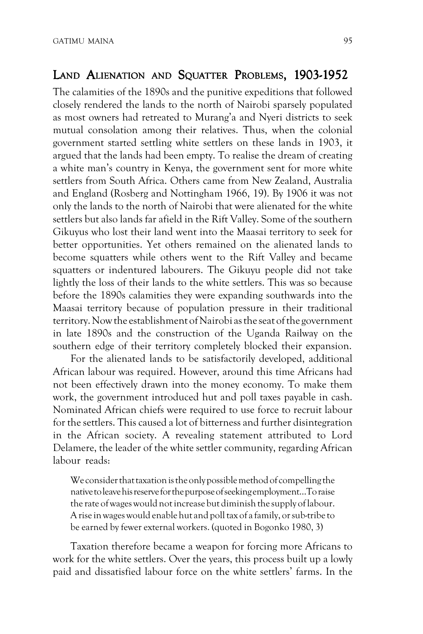## LAND ALIENATION AND SQUATTER PROBLEMS, 1903-1952

The calamities of the 1890s and the punitive expeditions that followed closely rendered the lands to the north of Nairobi sparsely populated as most owners had retreated to Murang'a and Nyeri districts to seek mutual consolation among their relatives. Thus, when the colonial government started settling white settlers on these lands in 1903, it argued that the lands had been empty. To realise the dream of creating a white man's country in Kenya, the government sent for more white settlers from South Africa. Others came from New Zealand, Australia and England (Rosberg and Nottingham 1966, 19). By 1906 it was not only the lands to the north of Nairobi that were alienated for the white settlers but also lands far afield in the Rift Valley. Some of the southern Gikuyus who lost their land went into the Maasai territory to seek for better opportunities. Yet others remained on the alienated lands to become squatters while others went to the Rift Valley and became squatters or indentured labourers. The Gikuyu people did not take lightly the loss of their lands to the white settlers. This was so because before the 1890s calamities they were expanding southwards into the Maasai territory because of population pressure in their traditional territory. Now the establishment of Nairobi as the seat of the government in late 1890s and the construction of the Uganda Railway on the southern edge of their territory completely blocked their expansion.

For the alienated lands to be satisfactorily developed, additional African labour was required. However, around this time Africans had not been effectively drawn into the money economy. To make them work, the government introduced hut and poll taxes payable in cash. Nominated African chiefs were required to use force to recruit labour for the settlers. This caused a lot of bitterness and further disintegration in the African society. A revealing statement attributed to Lord Delamere, the leader of the white settler community, regarding African labour reads:

We consider that taxation is the only possible method of compelling the native to leave his reserve for the purpose of seeking employment…To raise the rate of wages would not increase but diminish the supply of labour. A rise in wages would enable hut and poll tax of a family, or sub-tribe to be earned by fewer external workers. (quoted in Bogonko 1980, 3)

Taxation therefore became a weapon for forcing more Africans to work for the white settlers. Over the years, this process built up a lowly paid and dissatisfied labour force on the white settlers' farms. In the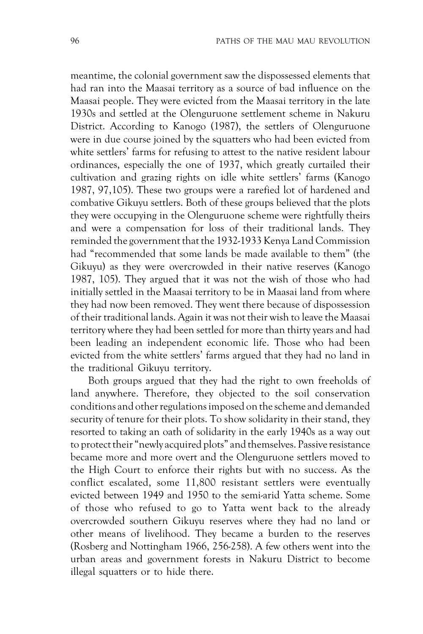meantime, the colonial government saw the dispossessed elements that had ran into the Maasai territory as a source of bad influence on the Maasai people. They were evicted from the Maasai territory in the late 1930s and settled at the Olenguruone settlement scheme in Nakuru District. According to Kanogo (1987), the settlers of Olenguruone were in due course joined by the squatters who had been evicted from white settlers' farms for refusing to attest to the native resident labour ordinances, especially the one of 1937, which greatly curtailed their cultivation and grazing rights on idle white settlers' farms (Kanogo 1987, 97,105). These two groups were a rarefied lot of hardened and combative Gikuyu settlers. Both of these groups believed that the plots they were occupying in the Olenguruone scheme were rightfully theirs and were a compensation for loss of their traditional lands. They reminded the government that the 1932-1933 Kenya Land Commission had "recommended that some lands be made available to them" (the Gikuyu) as they were overcrowded in their native reserves (Kanogo 1987, 105). They argued that it was not the wish of those who had initially settled in the Maasai territory to be in Maasai land from where they had now been removed. They went there because of dispossession of their traditional lands. Again it was not their wish to leave the Maasai territory where they had been settled for more than thirty years and had been leading an independent economic life. Those who had been evicted from the white settlers' farms argued that they had no land in the traditional Gikuyu territory.

Both groups argued that they had the right to own freeholds of land anywhere. Therefore, they objected to the soil conservation conditions and other regulations imposed on the scheme and demanded security of tenure for their plots. To show solidarity in their stand, they resorted to taking an oath of solidarity in the early 1940s as a way out to protect their "newly acquired plots" and themselves. Passive resistance became more and more overt and the Olenguruone settlers moved to the High Court to enforce their rights but with no success. As the conflict escalated, some 11,800 resistant settlers were eventually evicted between 1949 and 1950 to the semi-arid Yatta scheme. Some of those who refused to go to Yatta went back to the already overcrowded southern Gikuyu reserves where they had no land or other means of livelihood. They became a burden to the reserves (Rosberg and Nottingham 1966, 256-258). A few others went into the urban areas and government forests in Nakuru District to become illegal squatters or to hide there.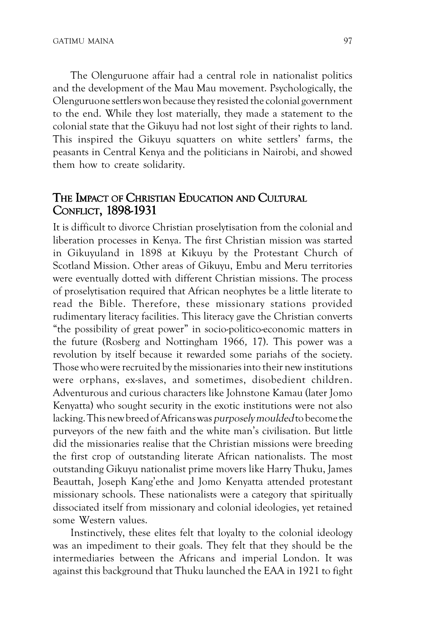The Olenguruone affair had a central role in nationalist politics and the development of the Mau Mau movement. Psychologically, the Olenguruone settlers won because they resisted the colonial government to the end. While they lost materially, they made a statement to the colonial state that the Gikuyu had not lost sight of their rights to land. This inspired the Gikuyu squatters on white settlers' farms, the peasants in Central Kenya and the politicians in Nairobi, and showed them how to create solidarity.

### THE IMPACT OF CHRISTIAN EDUCATION AND CULTURAL CONFLICT, 1898-1931

It is difficult to divorce Christian proselytisation from the colonial and liberation processes in Kenya. The first Christian mission was started in Gikuyuland in 1898 at Kikuyu by the Protestant Church of Scotland Mission. Other areas of Gikuyu, Embu and Meru territories were eventually dotted with different Christian missions. The process of proselytisation required that African neophytes be a little literate to read the Bible. Therefore, these missionary stations provided rudimentary literacy facilities. This literacy gave the Christian converts "the possibility of great power" in socio-politico-economic matters in the future (Rosberg and Nottingham 1966, 17). This power was a revolution by itself because it rewarded some pariahs of the society. Those who were recruited by the missionaries into their new institutions were orphans, ex-slaves, and sometimes, disobedient children. Adventurous and curious characters like Johnstone Kamau (later Jomo Kenyatta) who sought security in the exotic institutions were not also lacking. This new breed of Africans was purposely moulded to become the purveyors of the new faith and the white man's civilisation. But little did the missionaries realise that the Christian missions were breeding the first crop of outstanding literate African nationalists. The most outstanding Gikuyu nationalist prime movers like Harry Thuku, James Beauttah, Joseph Kang'ethe and Jomo Kenyatta attended protestant missionary schools. These nationalists were a category that spiritually dissociated itself from missionary and colonial ideologies, yet retained some Western values.

Instinctively, these elites felt that loyalty to the colonial ideology was an impediment to their goals. They felt that they should be the intermediaries between the Africans and imperial London. It was against this background that Thuku launched the EAA in 1921 to fight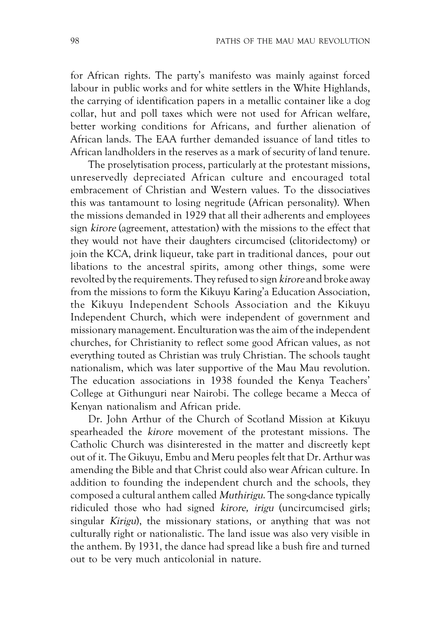for African rights. The party's manifesto was mainly against forced labour in public works and for white settlers in the White Highlands, the carrying of identification papers in a metallic container like a dog collar, hut and poll taxes which were not used for African welfare, better working conditions for Africans, and further alienation of African lands. The EAA further demanded issuance of land titles to African landholders in the reserves as a mark of security of land tenure.

The proselytisation process, particularly at the protestant missions, unreservedly depreciated African culture and encouraged total embracement of Christian and Western values. To the dissociatives this was tantamount to losing negritude (African personality). When the missions demanded in 1929 that all their adherents and employees sign kirore (agreement, attestation) with the missions to the effect that they would not have their daughters circumcised (clitoridectomy) or join the KCA, drink liqueur, take part in traditional dances, pour out libations to the ancestral spirits, among other things, some were revolted by the requirements. They refused to sign *kirore* and broke away from the missions to form the Kikuyu Karing'a Education Association, the Kikuyu Independent Schools Association and the Kikuyu Independent Church, which were independent of government and missionary management. Enculturation was the aim of the independent churches, for Christianity to reflect some good African values, as not everything touted as Christian was truly Christian. The schools taught nationalism, which was later supportive of the Mau Mau revolution. The education associations in 1938 founded the Kenya Teachers' College at Githunguri near Nairobi. The college became a Mecca of Kenyan nationalism and African pride.

Dr. John Arthur of the Church of Scotland Mission at Kikuyu spearheaded the kirore movement of the protestant missions. The Catholic Church was disinterested in the matter and discreetly kept out of it. The Gikuyu, Embu and Meru peoples felt that Dr. Arthur was amending the Bible and that Christ could also wear African culture. In addition to founding the independent church and the schools, they composed a cultural anthem called Muthirigu. The song-dance typically ridiculed those who had signed kirore, irigu (uncircumcised girls; singular *Kirigu*), the missionary stations, or anything that was not culturally right or nationalistic. The land issue was also very visible in the anthem. By 1931, the dance had spread like a bush fire and turned out to be very much anticolonial in nature.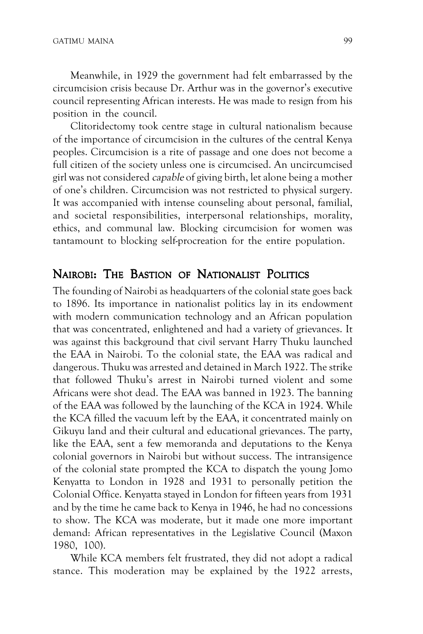Meanwhile, in 1929 the government had felt embarrassed by the circumcision crisis because Dr. Arthur was in the governor's executive council representing African interests. He was made to resign from his position in the council.

Clitoridectomy took centre stage in cultural nationalism because of the importance of circumcision in the cultures of the central Kenya peoples. Circumcision is a rite of passage and one does not become a full citizen of the society unless one is circumcised. An uncircumcised girl was not considered capable of giving birth, let alone being a mother of one's children. Circumcision was not restricted to physical surgery. It was accompanied with intense counseling about personal, familial, and societal responsibilities, interpersonal relationships, morality, ethics, and communal law. Blocking circumcision for women was tantamount to blocking self-procreation for the entire population.

#### NAIROBI: THE BASTION OF NATIONALIST POLITICS

The founding of Nairobi as headquarters of the colonial state goes back to 1896. Its importance in nationalist politics lay in its endowment with modern communication technology and an African population that was concentrated, enlightened and had a variety of grievances. It was against this background that civil servant Harry Thuku launched the EAA in Nairobi. To the colonial state, the EAA was radical and dangerous. Thuku was arrested and detained in March 1922. The strike that followed Thuku's arrest in Nairobi turned violent and some Africans were shot dead. The EAA was banned in 1923. The banning of the EAA was followed by the launching of the KCA in 1924. While the KCA filled the vacuum left by the EAA, it concentrated mainly on Gikuyu land and their cultural and educational grievances. The party, like the EAA, sent a few memoranda and deputations to the Kenya colonial governors in Nairobi but without success. The intransigence of the colonial state prompted the KCA to dispatch the young Jomo Kenyatta to London in 1928 and 1931 to personally petition the Colonial Office. Kenyatta stayed in London for fifteen years from 1931 and by the time he came back to Kenya in 1946, he had no concessions to show. The KCA was moderate, but it made one more important demand: African representatives in the Legislative Council (Maxon 1980, 100).

While KCA members felt frustrated, they did not adopt a radical stance. This moderation may be explained by the 1922 arrests,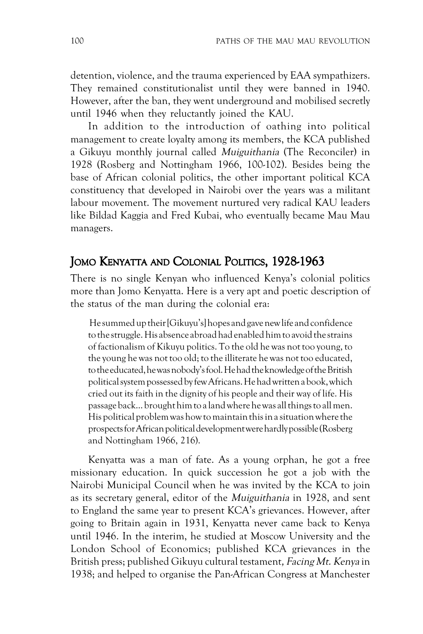detention, violence, and the trauma experienced by EAA sympathizers. They remained constitutionalist until they were banned in 1940. However, after the ban, they went underground and mobilised secretly until 1946 when they reluctantly joined the KAU.

In addition to the introduction of oathing into political management to create loyalty among its members, the KCA published a Gikuyu monthly journal called Muiguithania (The Reconciler) in 1928 (Rosberg and Nottingham 1966, 100-102). Besides being the base of African colonial politics, the other important political KCA constituency that developed in Nairobi over the years was a militant labour movement. The movement nurtured very radical KAU leaders like Bildad Kaggia and Fred Kubai, who eventually became Mau Mau managers.

# JOMO KENYATTA AND COLONIAL POLITICS, 1928-1963

There is no single Kenyan who influenced Kenya's colonial politics more than Jomo Kenyatta. Here is a very apt and poetic description of the status of the man during the colonial era:

 He summed up their [Gikuyu's] hopes and gave new life and confidence to the struggle. His absence abroad had enabled him to avoid the strains of factionalism of Kikuyu politics. To the old he was not too young, to the young he was not too old; to the illiterate he was not too educated, to the educated, he was nobody's fool. He had the knowledge of the British political system possessed by few Africans. He had written a book, which cried out its faith in the dignity of his people and their way of life. His passage back… brought him to a land where he was all things to all men. His political problem was how to maintain this in a situation where the prospects for African political development were hardly possible (Rosberg and Nottingham 1966, 216).

Kenyatta was a man of fate. As a young orphan, he got a free missionary education. In quick succession he got a job with the Nairobi Municipal Council when he was invited by the KCA to join as its secretary general, editor of the Muiguithania in 1928, and sent to England the same year to present KCA's grievances. However, after going to Britain again in 1931, Kenyatta never came back to Kenya until 1946. In the interim, he studied at Moscow University and the London School of Economics; published KCA grievances in the British press; published Gikuyu cultural testament, Facing Mt. Kenya in 1938; and helped to organise the Pan-African Congress at Manchester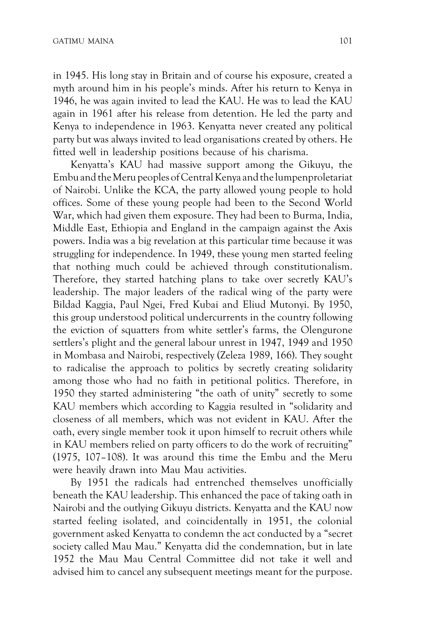in 1945. His long stay in Britain and of course his exposure, created a myth around him in his people's minds. After his return to Kenya in 1946, he was again invited to lead the KAU. He was to lead the KAU again in 1961 after his release from detention. He led the party and Kenya to independence in 1963. Kenyatta never created any political party but was always invited to lead organisations created by others. He fitted well in leadership positions because of his charisma.

Kenyatta's KAU had massive support among the Gikuyu, the Embu and the Meru peoples of Central Kenya and the lumpenproletariat of Nairobi. Unlike the KCA, the party allowed young people to hold offices. Some of these young people had been to the Second World War, which had given them exposure. They had been to Burma, India, Middle East, Ethiopia and England in the campaign against the Axis powers. India was a big revelation at this particular time because it was struggling for independence. In 1949, these young men started feeling that nothing much could be achieved through constitutionalism. Therefore, they started hatching plans to take over secretly KAU's leadership. The major leaders of the radical wing of the party were Bildad Kaggia, Paul Ngei, Fred Kubai and Eliud Mutonyi. By 1950, this group understood political undercurrents in the country following the eviction of squatters from white settler's farms, the Olengurone settlers's plight and the general labour unrest in 1947, 1949 and 1950 in Mombasa and Nairobi, respectively (Zeleza 1989, 166). They sought to radicalise the approach to politics by secretly creating solidarity among those who had no faith in petitional politics. Therefore, in 1950 they started administering "the oath of unity" secretly to some KAU members which according to Kaggia resulted in "solidarity and closeness of all members, which was not evident in KAU. After the oath, every single member took it upon himself to recruit others while in KAU members relied on party officers to do the work of recruiting" (1975, 107–108). It was around this time the Embu and the Meru were heavily drawn into Mau Mau activities.

By 1951 the radicals had entrenched themselves unofficially beneath the KAU leadership. This enhanced the pace of taking oath in Nairobi and the outlying Gikuyu districts. Kenyatta and the KAU now started feeling isolated, and coincidentally in 1951, the colonial government asked Kenyatta to condemn the act conducted by a "secret society called Mau Mau." Kenyatta did the condemnation, but in late 1952 the Mau Mau Central Committee did not take it well and advised him to cancel any subsequent meetings meant for the purpose.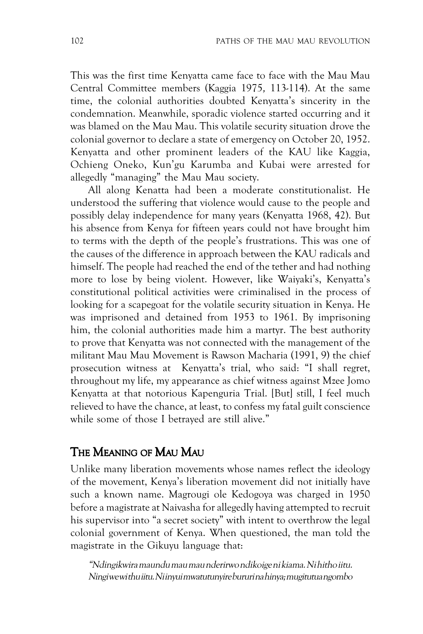This was the first time Kenyatta came face to face with the Mau Mau Central Committee members (Kaggia 1975, 113-114). At the same time, the colonial authorities doubted Kenyatta's sincerity in the condemnation. Meanwhile, sporadic violence started occurring and it was blamed on the Mau Mau. This volatile security situation drove the colonial governor to declare a state of emergency on October 20, 1952. Kenyatta and other prominent leaders of the KAU like Kaggia, Ochieng Oneko, Kun'gu Karumba and Kubai were arrested for allegedly "managing" the Mau Mau society.

All along Kenatta had been a moderate constitutionalist. He understood the suffering that violence would cause to the people and possibly delay independence for many years (Kenyatta 1968, 42). But his absence from Kenya for fifteen years could not have brought him to terms with the depth of the people's frustrations. This was one of the causes of the difference in approach between the KAU radicals and himself. The people had reached the end of the tether and had nothing more to lose by being violent. However, like Waiyaki's, Kenyatta's constitutional political activities were criminalised in the process of looking for a scapegoat for the volatile security situation in Kenya. He was imprisoned and detained from 1953 to 1961. By imprisoning him, the colonial authorities made him a martyr. The best authority to prove that Kenyatta was not connected with the management of the militant Mau Mau Movement is Rawson Macharia (1991, 9) the chief prosecution witness at Kenyatta's trial, who said: "I shall regret, throughout my life, my appearance as chief witness against Mzee Jomo Kenyatta at that notorious Kapenguria Trial. [But] still, I feel much relieved to have the chance, at least, to confess my fatal guilt conscience while some of those I betrayed are still alive."

#### THE MEANING OF MAU MAU

Unlike many liberation movements whose names reflect the ideology of the movement, Kenya's liberation movement did not initially have such a known name. Magrougi ole Kedogoya was charged in 1950 before a magistrate at Naivasha for allegedly having attempted to recruit his supervisor into "a secret society" with intent to overthrow the legal colonial government of Kenya. When questioned, the man told the magistrate in the Gikuyu language that:

"Ndingikwira maundu mau mau nderirwo ndikoige ni kiama. Ni hitho iitu. Ningi we wi thu iitu. Ni inyui mwatutunyire bururi na hinya; mugitutua ngombo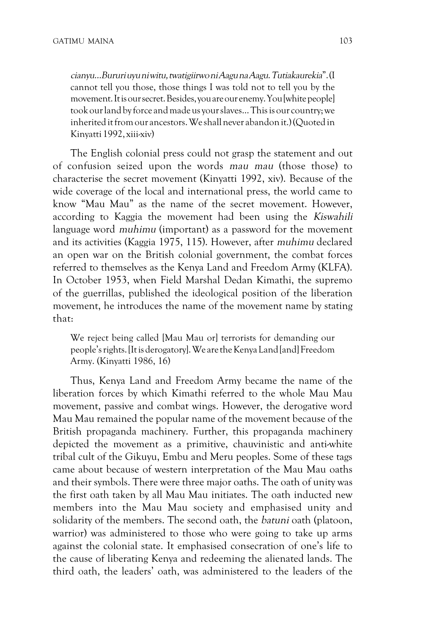cianyu…Bururi uyu ni witu, twatigiirwo ni Aagu na Aagu.Tutiakaurekia". (I cannot tell you those, those things I was told not to tell you by the movement. It is our secret. Besides, you are our enemy. You [white people] took our land by force and made us your slaves… This is our country; we inherited it from our ancestors. We shall never abandon it.) (Quoted in Kinyatti 1992, xiii-xiv)

The English colonial press could not grasp the statement and out of confusion seized upon the words mau mau (those those) to characterise the secret movement (Kinyatti 1992, xiv). Because of the wide coverage of the local and international press, the world came to know "Mau Mau" as the name of the secret movement. However, according to Kaggia the movement had been using the *Kiswahili* language word muhimu (important) as a password for the movement and its activities (Kaggia 1975, 115). However, after muhimu declared an open war on the British colonial government, the combat forces referred to themselves as the Kenya Land and Freedom Army (KLFA). In October 1953, when Field Marshal Dedan Kimathi, the supremo of the guerrillas, published the ideological position of the liberation movement, he introduces the name of the movement name by stating that:

We reject being called [Mau Mau or] terrorists for demanding our people's rights. [It is derogatory]. We are the Kenya Land [and] Freedom Army. (Kinyatti 1986, 16)

Thus, Kenya Land and Freedom Army became the name of the liberation forces by which Kimathi referred to the whole Mau Mau movement, passive and combat wings. However, the derogative word Mau Mau remained the popular name of the movement because of the British propaganda machinery. Further, this propaganda machinery depicted the movement as a primitive, chauvinistic and anti-white tribal cult of the Gikuyu, Embu and Meru peoples. Some of these tags came about because of western interpretation of the Mau Mau oaths and their symbols. There were three major oaths. The oath of unity was the first oath taken by all Mau Mau initiates. The oath inducted new members into the Mau Mau society and emphasised unity and solidarity of the members. The second oath, the batuni oath (platoon, warrior) was administered to those who were going to take up arms against the colonial state. It emphasised consecration of one's life to the cause of liberating Kenya and redeeming the alienated lands. The third oath, the leaders' oath, was administered to the leaders of the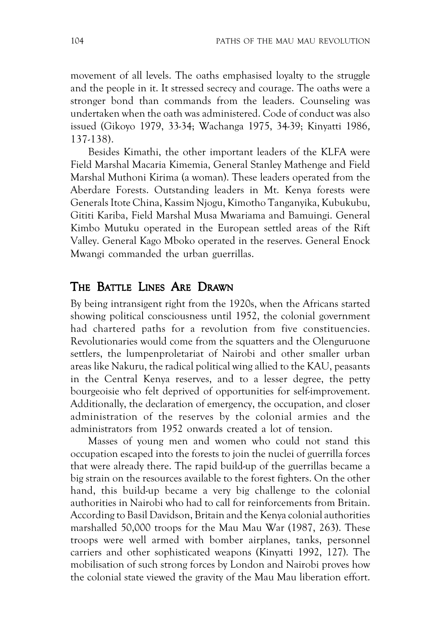movement of all levels. The oaths emphasised loyalty to the struggle and the people in it. It stressed secrecy and courage. The oaths were a stronger bond than commands from the leaders. Counseling was undertaken when the oath was administered. Code of conduct was also issued (Gikoyo 1979, 33-34; Wachanga 1975, 34-39; Kinyatti 1986, 137-138).

Besides Kimathi, the other important leaders of the KLFA were Field Marshal Macaria Kimemia, General Stanley Mathenge and Field Marshal Muthoni Kirima (a woman). These leaders operated from the Aberdare Forests. Outstanding leaders in Mt. Kenya forests were Generals Itote China, Kassim Njogu, Kimotho Tanganyika, Kubukubu, Gititi Kariba, Field Marshal Musa Mwariama and Bamuingi. General Kimbo Mutuku operated in the European settled areas of the Rift Valley. General Kago Mboko operated in the reserves. General Enock Mwangi commanded the urban guerrillas.

#### THE BATTLE LINES ARE DRAWN

By being intransigent right from the 1920s, when the Africans started showing political consciousness until 1952, the colonial government had chartered paths for a revolution from five constituencies. Revolutionaries would come from the squatters and the Olenguruone settlers, the lumpenproletariat of Nairobi and other smaller urban areas like Nakuru, the radical political wing allied to the KAU, peasants in the Central Kenya reserves, and to a lesser degree, the petty bourgeoisie who felt deprived of opportunities for self-improvement. Additionally, the declaration of emergency, the occupation, and closer administration of the reserves by the colonial armies and the administrators from 1952 onwards created a lot of tension.

Masses of young men and women who could not stand this occupation escaped into the forests to join the nuclei of guerrilla forces that were already there. The rapid build-up of the guerrillas became a big strain on the resources available to the forest fighters. On the other hand, this build-up became a very big challenge to the colonial authorities in Nairobi who had to call for reinforcements from Britain. According to Basil Davidson, Britain and the Kenya colonial authorities marshalled 50,000 troops for the Mau Mau War (1987, 263). These troops were well armed with bomber airplanes, tanks, personnel carriers and other sophisticated weapons (Kinyatti 1992, 127). The mobilisation of such strong forces by London and Nairobi proves how the colonial state viewed the gravity of the Mau Mau liberation effort.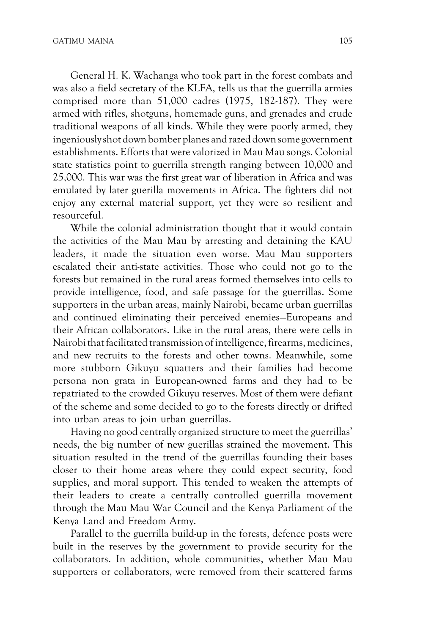General H. K. Wachanga who took part in the forest combats and was also a field secretary of the KLFA, tells us that the guerrilla armies comprised more than 51,000 cadres (1975, 182-187). They were armed with rifles, shotguns, homemade guns, and grenades and crude traditional weapons of all kinds. While they were poorly armed, they ingeniously shot down bomber planes and razed down some government establishments. Efforts that were valorized in Mau Mau songs. Colonial state statistics point to guerrilla strength ranging between 10,000 and 25,000. This war was the first great war of liberation in Africa and was emulated by later guerilla movements in Africa. The fighters did not enjoy any external material support, yet they were so resilient and resourceful.

While the colonial administration thought that it would contain the activities of the Mau Mau by arresting and detaining the KAU leaders, it made the situation even worse. Mau Mau supporters escalated their anti-state activities. Those who could not go to the forests but remained in the rural areas formed themselves into cells to provide intelligence, food, and safe passage for the guerrillas. Some supporters in the urban areas, mainly Nairobi, became urban guerrillas and continued eliminating their perceived enemies—Europeans and their African collaborators. Like in the rural areas, there were cells in Nairobi that facilitated transmission of intelligence, firearms, medicines, and new recruits to the forests and other towns. Meanwhile, some more stubborn Gikuyu squatters and their families had become persona non grata in European-owned farms and they had to be repatriated to the crowded Gikuyu reserves. Most of them were defiant of the scheme and some decided to go to the forests directly or drifted into urban areas to join urban guerrillas.

Having no good centrally organized structure to meet the guerrillas' needs, the big number of new guerillas strained the movement. This situation resulted in the trend of the guerrillas founding their bases closer to their home areas where they could expect security, food supplies, and moral support. This tended to weaken the attempts of their leaders to create a centrally controlled guerrilla movement through the Mau Mau War Council and the Kenya Parliament of the Kenya Land and Freedom Army.

Parallel to the guerrilla build-up in the forests, defence posts were built in the reserves by the government to provide security for the collaborators. In addition, whole communities, whether Mau Mau supporters or collaborators, were removed from their scattered farms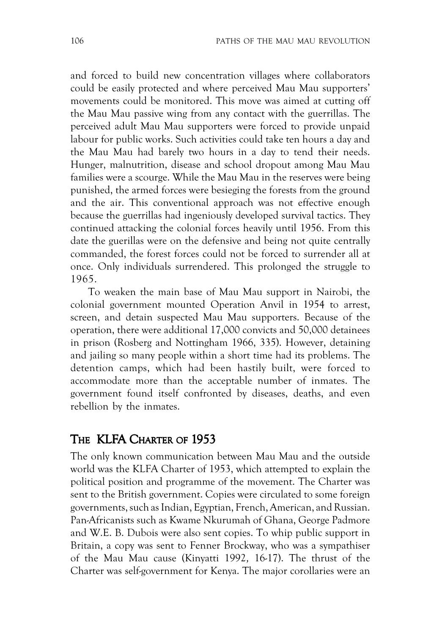and forced to build new concentration villages where collaborators could be easily protected and where perceived Mau Mau supporters' movements could be monitored. This move was aimed at cutting off the Mau Mau passive wing from any contact with the guerrillas. The perceived adult Mau Mau supporters were forced to provide unpaid labour for public works. Such activities could take ten hours a day and the Mau Mau had barely two hours in a day to tend their needs. Hunger, malnutrition, disease and school dropout among Mau Mau families were a scourge. While the Mau Mau in the reserves were being punished, the armed forces were besieging the forests from the ground and the air. This conventional approach was not effective enough because the guerrillas had ingeniously developed survival tactics. They continued attacking the colonial forces heavily until 1956. From this date the guerillas were on the defensive and being not quite centrally commanded, the forest forces could not be forced to surrender all at once. Only individuals surrendered. This prolonged the struggle to 1965.

To weaken the main base of Mau Mau support in Nairobi, the colonial government mounted Operation Anvil in 1954 to arrest, screen, and detain suspected Mau Mau supporters. Because of the operation, there were additional 17,000 convicts and 50,000 detainees in prison (Rosberg and Nottingham 1966, 335). However, detaining and jailing so many people within a short time had its problems. The detention camps, which had been hastily built, were forced to accommodate more than the acceptable number of inmates. The government found itself confronted by diseases, deaths, and even rebellion by the inmates.

#### THE KLFA CHARTER OF 1953

The only known communication between Mau Mau and the outside world was the KLFA Charter of 1953, which attempted to explain the political position and programme of the movement. The Charter was sent to the British government. Copies were circulated to some foreign governments, such as Indian, Egyptian, French, American, and Russian. Pan-Africanists such as Kwame Nkurumah of Ghana, George Padmore and W.E. B. Dubois were also sent copies. To whip public support in Britain, a copy was sent to Fenner Brockway, who was a sympathiser of the Mau Mau cause (Kinyatti 1992, 16-17). The thrust of the Charter was self-government for Kenya. The major corollaries were an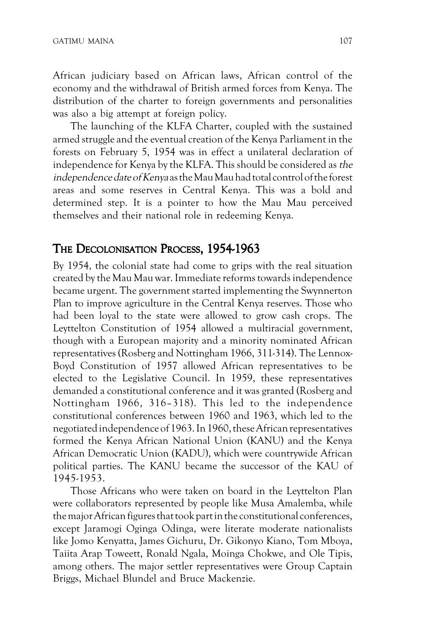African judiciary based on African laws, African control of the economy and the withdrawal of British armed forces from Kenya. The distribution of the charter to foreign governments and personalities was also a big attempt at foreign policy.

The launching of the KLFA Charter, coupled with the sustained armed struggle and the eventual creation of the Kenya Parliament in the forests on February 5, 1954 was in effect a unilateral declaration of independence for Kenya by the KLFA. This should be considered as the independence date of Kenya as the Mau Mau had total control of the forest areas and some reserves in Central Kenya. This was a bold and determined step. It is a pointer to how the Mau Mau perceived themselves and their national role in redeeming Kenya.

#### THE DECOLONISATION PROCESS, 1954-1963

By 1954, the colonial state had come to grips with the real situation created by the Mau Mau war. Immediate reforms towards independence became urgent. The government started implementing the Swynnerton Plan to improve agriculture in the Central Kenya reserves. Those who had been loyal to the state were allowed to grow cash crops. The Leyttelton Constitution of 1954 allowed a multiracial government, though with a European majority and a minority nominated African representatives (Rosberg and Nottingham 1966, 311-314). The Lennox-Boyd Constitution of 1957 allowed African representatives to be elected to the Legislative Council. In 1959, these representatives demanded a constitutional conference and it was granted (Rosberg and Nottingham 1966, 316–318). This led to the independence constitutional conferences between 1960 and 1963, which led to the negotiated independence of 1963. In 1960, these African representatives formed the Kenya African National Union (KANU) and the Kenya African Democratic Union (KADU), which were countrywide African political parties. The KANU became the successor of the KAU of 1945-1953.

Those Africans who were taken on board in the Leyttelton Plan were collaborators represented by people like Musa Amalemba, while the major African figures that took part in the constitutional conferences, except Jaramogi Oginga Odinga, were literate moderate nationalists like Jomo Kenyatta, James Gichuru, Dr. Gikonyo Kiano, Tom Mboya, Taiita Arap Toweett, Ronald Ngala, Moinga Chokwe, and Ole Tipis, among others. The major settler representatives were Group Captain Briggs, Michael Blundel and Bruce Mackenzie.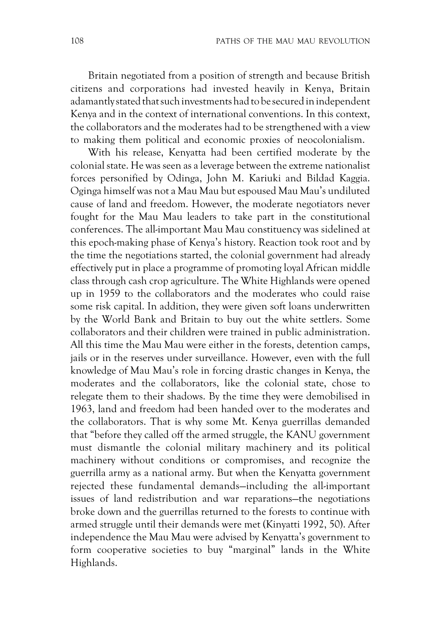Britain negotiated from a position of strength and because British citizens and corporations had invested heavily in Kenya, Britain adamantly stated that such investments had to be secured in independent Kenya and in the context of international conventions. In this context, the collaborators and the moderates had to be strengthened with a view to making them political and economic proxies of neocolonialism.

With his release, Kenyatta had been certified moderate by the colonial state. He was seen as a leverage between the extreme nationalist forces personified by Odinga, John M. Kariuki and Bildad Kaggia. Oginga himself was not a Mau Mau but espoused Mau Mau's undiluted cause of land and freedom. However, the moderate negotiators never fought for the Mau Mau leaders to take part in the constitutional conferences. The all-important Mau Mau constituency was sidelined at this epoch-making phase of Kenya's history. Reaction took root and by the time the negotiations started, the colonial government had already effectively put in place a programme of promoting loyal African middle class through cash crop agriculture. The White Highlands were opened up in 1959 to the collaborators and the moderates who could raise some risk capital. In addition, they were given soft loans underwritten by the World Bank and Britain to buy out the white settlers. Some collaborators and their children were trained in public administration. All this time the Mau Mau were either in the forests, detention camps, jails or in the reserves under surveillance. However, even with the full knowledge of Mau Mau's role in forcing drastic changes in Kenya, the moderates and the collaborators, like the colonial state, chose to relegate them to their shadows. By the time they were demobilised in 1963, land and freedom had been handed over to the moderates and the collaborators. That is why some Mt. Kenya guerrillas demanded that "before they called off the armed struggle, the KANU government must dismantle the colonial military machinery and its political machinery without conditions or compromises, and recognize the guerrilla army as a national army. But when the Kenyatta government rejected these fundamental demands—including the all-important issues of land redistribution and war reparations—the negotiations broke down and the guerrillas returned to the forests to continue with armed struggle until their demands were met (Kinyatti 1992, 50). After independence the Mau Mau were advised by Kenyatta's government to form cooperative societies to buy "marginal" lands in the White Highlands.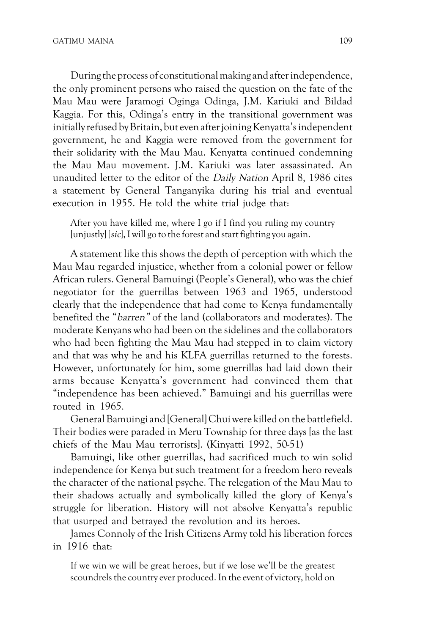During the process of constitutional making and after independence, the only prominent persons who raised the question on the fate of the Mau Mau were Jaramogi Oginga Odinga, J.M. Kariuki and Bildad Kaggia. For this, Odinga's entry in the transitional government was initially refused by Britain, but even after joining Kenyatta's independent government, he and Kaggia were removed from the government for their solidarity with the Mau Mau. Kenyatta continued condemning the Mau Mau movement. J.M. Kariuki was later assassinated. An unaudited letter to the editor of the Daily Nation April 8, 1986 cites a statement by General Tanganyika during his trial and eventual execution in 1955. He told the white trial judge that:

After you have killed me, where I go if I find you ruling my country [unjustly] [sic], I will go to the forest and start fighting you again.

A statement like this shows the depth of perception with which the Mau Mau regarded injustice, whether from a colonial power or fellow African rulers. General Bamuingi (People's General), who was the chief negotiator for the guerrillas between 1963 and 1965, understood clearly that the independence that had come to Kenya fundamentally benefited the "barren" of the land (collaborators and moderates). The moderate Kenyans who had been on the sidelines and the collaborators who had been fighting the Mau Mau had stepped in to claim victory and that was why he and his KLFA guerrillas returned to the forests. However, unfortunately for him, some guerrillas had laid down their arms because Kenyatta's government had convinced them that "independence has been achieved." Bamuingi and his guerrillas were routed in 1965.

General Bamuingi and [General] Chui were killed on the battlefield. Their bodies were paraded in Meru Township for three days [as the last chiefs of the Mau Mau terrorists]. (Kinyatti 1992, 50-51)

Bamuingi, like other guerrillas, had sacrificed much to win solid independence for Kenya but such treatment for a freedom hero reveals the character of the national psyche. The relegation of the Mau Mau to their shadows actually and symbolically killed the glory of Kenya's struggle for liberation. History will not absolve Kenyatta's republic that usurped and betrayed the revolution and its heroes.

James Connoly of the Irish Citizens Army told his liberation forces in 1916 that:

If we win we will be great heroes, but if we lose we'll be the greatest scoundrels the country ever produced. In the event of victory, hold on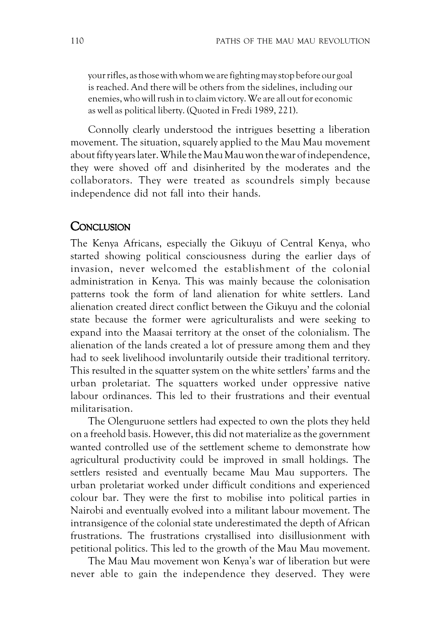your rifles, as those with whom we are fighting may stop before our goal is reached. And there will be others from the sidelines, including our enemies, who will rush in to claim victory. We are all out for economic as well as political liberty. (Quoted in Fredi 1989, 221).

Connolly clearly understood the intrigues besetting a liberation movement. The situation, squarely applied to the Mau Mau movement about fifty years later. While the Mau Mau won the war of independence, they were shoved off and disinherited by the moderates and the collaborators. They were treated as scoundrels simply because independence did not fall into their hands.

#### **CONCLUSION**

The Kenya Africans, especially the Gikuyu of Central Kenya, who started showing political consciousness during the earlier days of invasion, never welcomed the establishment of the colonial administration in Kenya. This was mainly because the colonisation patterns took the form of land alienation for white settlers. Land alienation created direct conflict between the Gikuyu and the colonial state because the former were agriculturalists and were seeking to expand into the Maasai territory at the onset of the colonialism. The alienation of the lands created a lot of pressure among them and they had to seek livelihood involuntarily outside their traditional territory. This resulted in the squatter system on the white settlers' farms and the urban proletariat. The squatters worked under oppressive native labour ordinances. This led to their frustrations and their eventual militarisation.

The Olenguruone settlers had expected to own the plots they held on a freehold basis. However, this did not materialize as the government wanted controlled use of the settlement scheme to demonstrate how agricultural productivity could be improved in small holdings. The settlers resisted and eventually became Mau Mau supporters. The urban proletariat worked under difficult conditions and experienced colour bar. They were the first to mobilise into political parties in Nairobi and eventually evolved into a militant labour movement. The intransigence of the colonial state underestimated the depth of African frustrations. The frustrations crystallised into disillusionment with petitional politics. This led to the growth of the Mau Mau movement.

The Mau Mau movement won Kenya's war of liberation but were never able to gain the independence they deserved. They were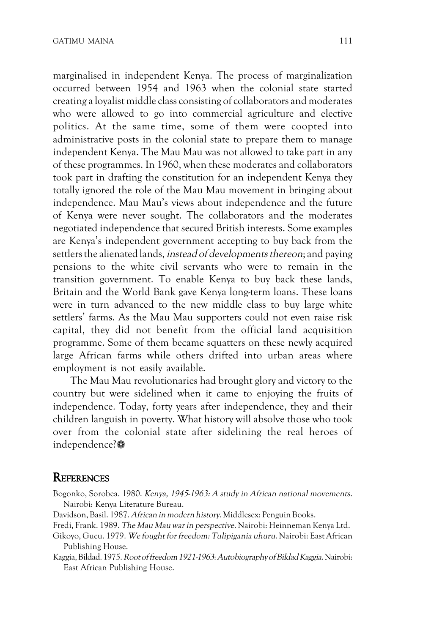marginalised in independent Kenya. The process of marginalization occurred between 1954 and 1963 when the colonial state started creating a loyalist middle class consisting of collaborators and moderates who were allowed to go into commercial agriculture and elective politics. At the same time, some of them were coopted into administrative posts in the colonial state to prepare them to manage independent Kenya. The Mau Mau was not allowed to take part in any of these programmes. In 1960, when these moderates and collaborators took part in drafting the constitution for an independent Kenya they totally ignored the role of the Mau Mau movement in bringing about independence. Mau Mau's views about independence and the future of Kenya were never sought. The collaborators and the moderates negotiated independence that secured British interests. Some examples are Kenya's independent government accepting to buy back from the settlers the alienated lands, instead of developments thereon; and paying pensions to the white civil servants who were to remain in the transition government. To enable Kenya to buy back these lands, Britain and the World Bank gave Kenya long-term loans. These loans were in turn advanced to the new middle class to buy large white settlers' farms. As the Mau Mau supporters could not even raise risk capital, they did not benefit from the official land acquisition programme. Some of them became squatters on these newly acquired large African farms while others drifted into urban areas where employment is not easily available.

The Mau Mau revolutionaries had brought glory and victory to the country but were sidelined when it came to enjoying the fruits of independence. Today, forty years after independence, they and their children languish in poverty. What history will absolve those who took over from the colonial state after sidelining the real heroes of independence?

#### **REFERENCES**

- Bogonko, Sorobea. 1980. Kenya, 1945-1963: A study in African national movements. Nairobi: Kenya Literature Bureau.
- Davidson, Basil. 1987. African in modern history. Middlesex: Penguin Books.
- Fredi, Frank. 1989. The Mau Mau war in perspective. Nairobi: Heinneman Kenya Ltd.
- Gikoyo, Gucu. 1979. We fought for freedom: Tulipigania uhuru. Nairobi: East African Publishing House.
- Kaggia, Bildad. 1975. Root of freedom 1921-1963: Autobiography of Bildad Kaggia. Nairobi: East African Publishing House.